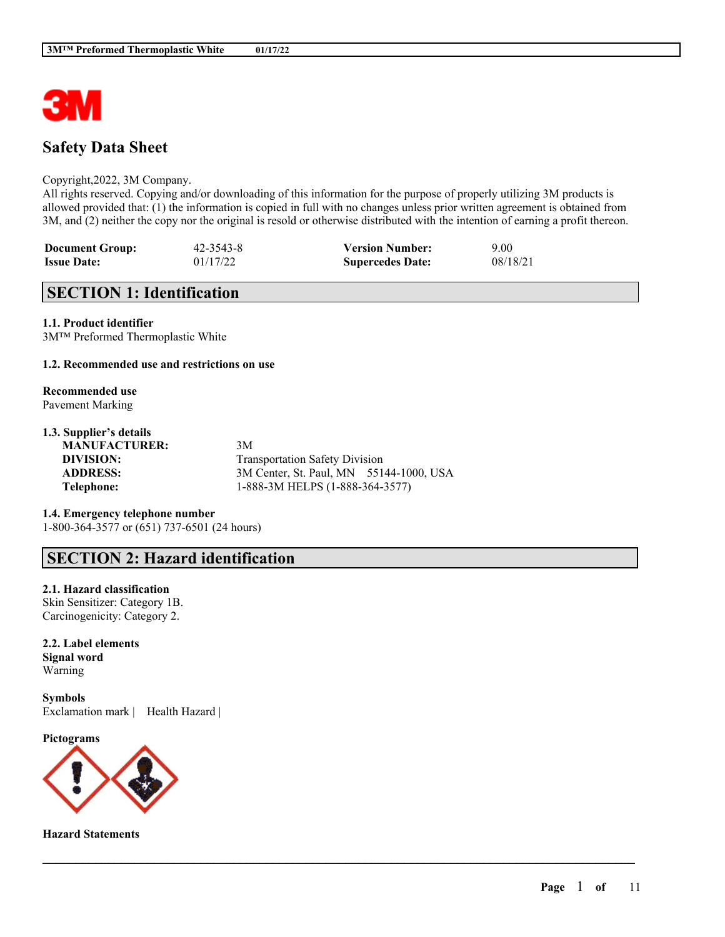

# **Safety Data Sheet**

#### Copyright,2022, 3M Company.

All rights reserved. Copying and/or downloading of this information for the purpose of properly utilizing 3M products is allowed provided that: (1) the information is copied in full with no changes unless prior written agreement is obtained from 3M, and (2) neither the copy nor the original is resold or otherwise distributed with the intention of earning a profit thereon.

| <b>Document Group:</b> | $42 - 3543 - 8$ | <b>Version Number:</b>  | 9.00     |
|------------------------|-----------------|-------------------------|----------|
| <b>Issue Date:</b>     | 01/17/22        | <b>Supercedes Date:</b> | 08/18/21 |

# **SECTION 1: Identification**

**1.1. Product identifier** 3M™ Preformed Thermoplastic White

### **1.2. Recommended use and restrictions on use**

#### **Recommended use** Pavement Marking

## **1.3. Supplier's details**

**MANUFACTURER:** 3M

**DIVISION:** Transportation Safety Division **ADDRESS:** 3M Center, St. Paul, MN 55144-1000, USA **Telephone:** 1-888-3M HELPS (1-888-364-3577)

 $\mathcal{L}_\mathcal{L} = \mathcal{L}_\mathcal{L} = \mathcal{L}_\mathcal{L} = \mathcal{L}_\mathcal{L} = \mathcal{L}_\mathcal{L} = \mathcal{L}_\mathcal{L} = \mathcal{L}_\mathcal{L} = \mathcal{L}_\mathcal{L} = \mathcal{L}_\mathcal{L} = \mathcal{L}_\mathcal{L} = \mathcal{L}_\mathcal{L} = \mathcal{L}_\mathcal{L} = \mathcal{L}_\mathcal{L} = \mathcal{L}_\mathcal{L} = \mathcal{L}_\mathcal{L} = \mathcal{L}_\mathcal{L} = \mathcal{L}_\mathcal{L}$ 

### **1.4. Emergency telephone number** 1-800-364-3577 or (651) 737-6501 (24 hours)

# **SECTION 2: Hazard identification**

#### **2.1. Hazard classification**

Skin Sensitizer: Category 1B. Carcinogenicity: Category 2.

**2.2. Label elements Signal word** Warning

**Symbols** Exclamation mark | Health Hazard |

**Pictograms**



**Hazard Statements**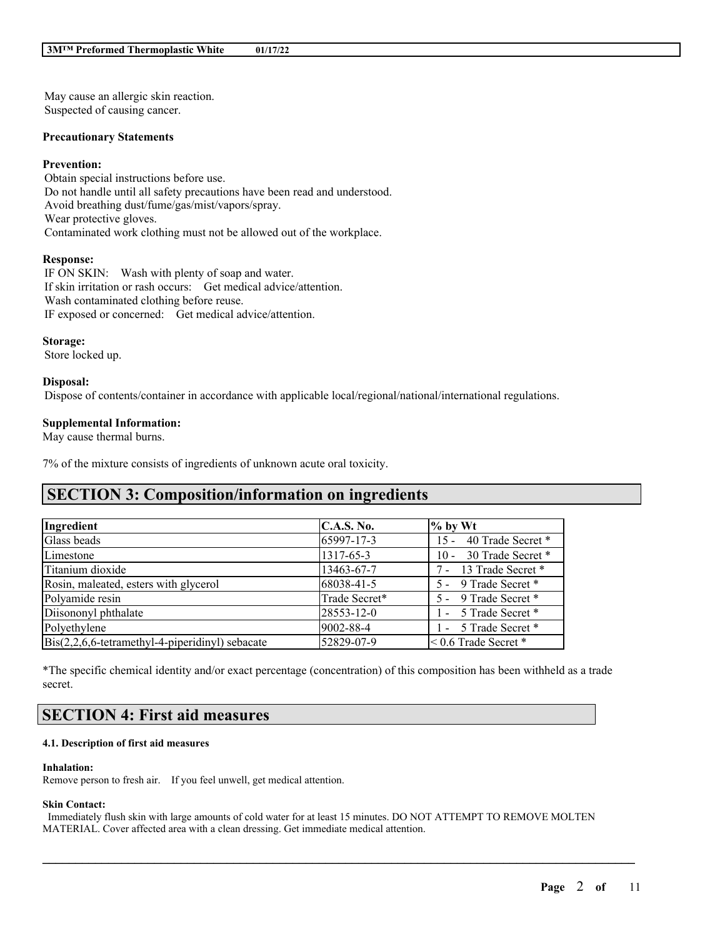May cause an allergic skin reaction. Suspected of causing cancer.

#### **Precautionary Statements**

### **Prevention:**

Obtain special instructions before use. Do not handle until all safety precautions have been read and understood. Avoid breathing dust/fume/gas/mist/vapors/spray. Wear protective gloves. Contaminated work clothing must not be allowed out of the workplace.

#### **Response:**

IF ON SKIN: Wash with plenty of soap and water. If skin irritation or rash occurs: Get medical advice/attention. Wash contaminated clothing before reuse. IF exposed or concerned: Get medical advice/attention.

#### **Storage:**

Store locked up.

#### **Disposal:**

Dispose of contents/container in accordance with applicable local/regional/national/international regulations.

### **Supplemental Information:**

May cause thermal burns.

7% of the mixture consists of ingredients of unknown acute oral toxicity.

# **SECTION 3: Composition/information on ingredients**

| Ingredient                                                      | C.A.S. No.    | $\%$ by Wt                  |
|-----------------------------------------------------------------|---------------|-----------------------------|
| Glass beads                                                     | 65997-17-3    | 15 - 40 Trade Secret *      |
| Limestone                                                       | 1317-65-3     | 10 - 30 Trade Secret *      |
| Titanium dioxide                                                | 13463-67-7    | 7 - 13 Trade Secret *       |
| Rosin, maleated, esters with glycerol                           | 68038-41-5    | 5 - 9 Trade Secret *        |
| Polyamide resin                                                 | Trade Secret* | 5 - 9 Trade Secret *        |
| Diisononyl phthalate                                            | 28553-12-0    | 1 - 5 Trade Secret *        |
| Polyethylene                                                    | 9002-88-4     | 1 - 5 Trade Secret *        |
| $\text{Bis}(2,2,6,6\text{-tetramethyl-4-piperidiny!)}$ sebacate | 52829-07-9    | $\leq 0.6$ Trade Secret $*$ |

\*The specific chemical identity and/or exact percentage (concentration) of this composition has been withheld as a trade secret.

# **SECTION 4: First aid measures**

#### **4.1. Description of first aid measures**

#### **Inhalation:**

Remove person to fresh air. If you feel unwell, get medical attention.

## **Skin Contact:**

Immediately flush skin with large amounts of cold water for at least 15 minutes. DO NOT ATTEMPT TO REMOVE MOLTEN MATERIAL. Cover affected area with a clean dressing. Get immediate medical attention.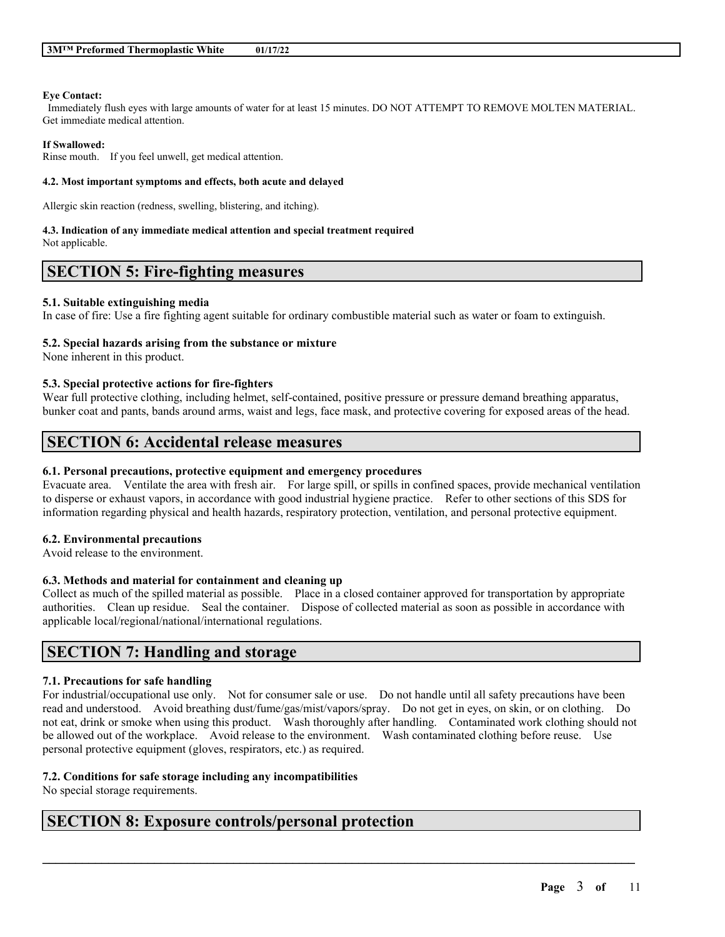#### **Eye Contact:**

Immediately flush eyes with large amounts of water for at least 15 minutes. DO NOT ATTEMPT TO REMOVE MOLTEN MATERIAL. Get immediate medical attention.

#### **If Swallowed:**

Rinse mouth. If you feel unwell, get medical attention.

#### **4.2. Most important symptoms and effects, both acute and delayed**

Allergic skin reaction (redness, swelling, blistering, and itching).

#### **4.3. Indication of any immediate medical attention and special treatment required**

Not applicable.

## **SECTION 5: Fire-fighting measures**

#### **5.1. Suitable extinguishing media**

In case of fire: Use a fire fighting agent suitable for ordinary combustible material such as water or foam to extinguish.

#### **5.2. Special hazards arising from the substance or mixture**

None inherent in this product.

#### **5.3. Special protective actions for fire-fighters**

Wear full protective clothing, including helmet, self-contained, positive pressure or pressure demand breathing apparatus, bunker coat and pants, bands around arms, waist and legs, face mask, and protective covering for exposed areas of the head.

# **SECTION 6: Accidental release measures**

#### **6.1. Personal precautions, protective equipment and emergency procedures**

Evacuate area. Ventilate the area with fresh air. For large spill, or spills in confined spaces, provide mechanical ventilation to disperse or exhaust vapors, in accordance with good industrial hygiene practice. Refer to other sections of this SDS for information regarding physical and health hazards, respiratory protection, ventilation, and personal protective equipment.

## **6.2. Environmental precautions**

Avoid release to the environment.

### **6.3. Methods and material for containment and cleaning up**

Collect as much of the spilled material as possible. Place in a closed container approved for transportation by appropriate authorities. Clean up residue. Seal the container. Dispose of collected material as soon as possible in accordance with applicable local/regional/national/international regulations.

## **SECTION 7: Handling and storage**

## **7.1. Precautions for safe handling**

For industrial/occupational use only. Not for consumer sale or use. Do not handle until all safety precautions have been read and understood. Avoid breathing dust/fume/gas/mist/vapors/spray. Do not get in eyes, on skin, or on clothing. Do not eat, drink or smoke when using this product. Wash thoroughly after handling. Contaminated work clothing should not be allowed out of the workplace. Avoid release to the environment. Wash contaminated clothing before reuse. Use personal protective equipment (gloves, respirators, etc.) as required.

 $\mathcal{L}_\mathcal{L} = \mathcal{L}_\mathcal{L} = \mathcal{L}_\mathcal{L} = \mathcal{L}_\mathcal{L} = \mathcal{L}_\mathcal{L} = \mathcal{L}_\mathcal{L} = \mathcal{L}_\mathcal{L} = \mathcal{L}_\mathcal{L} = \mathcal{L}_\mathcal{L} = \mathcal{L}_\mathcal{L} = \mathcal{L}_\mathcal{L} = \mathcal{L}_\mathcal{L} = \mathcal{L}_\mathcal{L} = \mathcal{L}_\mathcal{L} = \mathcal{L}_\mathcal{L} = \mathcal{L}_\mathcal{L} = \mathcal{L}_\mathcal{L}$ 

## **7.2. Conditions for safe storage including any incompatibilities**

No special storage requirements.

## **SECTION 8: Exposure controls/personal protection**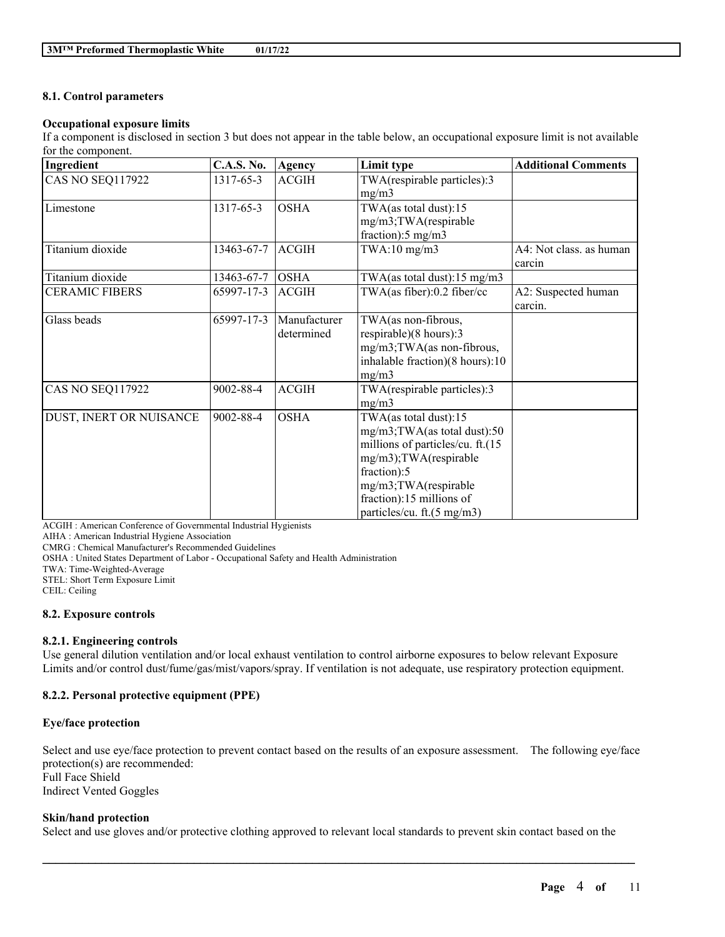## **8.1. Control parameters**

## **Occupational exposure limits**

If a component is disclosed in section 3 but does not appear in the table below, an occupational exposure limit is not available for the component.

| Ingredient              | <b>C.A.S. No.</b> | Agency                     | Limit type                                                                                                                                                                                                         | <b>Additional Comments</b>        |
|-------------------------|-------------------|----------------------------|--------------------------------------------------------------------------------------------------------------------------------------------------------------------------------------------------------------------|-----------------------------------|
| <b>CAS NO SEQ117922</b> | 1317-65-3         | <b>ACGIH</b>               | TWA(respirable particles):3<br>mg/m3                                                                                                                                                                               |                                   |
| Limestone               | 1317-65-3         | <b>OSHA</b>                | TWA(as total dust):15<br>mg/m3;TWA(respirable<br>fraction):5 mg/m3                                                                                                                                                 |                                   |
| Titanium dioxide        | 13463-67-7        | <b>ACGIH</b>               | $TWA:10$ mg/m $3$                                                                                                                                                                                                  | A4: Not class. as human<br>carcin |
| Titanium dioxide        | 13463-67-7        | <b>OSHA</b>                | TWA(as total dust): $15 \text{ mg/m}$ 3                                                                                                                                                                            |                                   |
| <b>CERAMIC FIBERS</b>   | 65997-17-3        | <b>ACGIH</b>               | TWA(as fiber):0.2 fiber/cc                                                                                                                                                                                         | A2: Suspected human<br>carcin.    |
| Glass beads             | 65997-17-3        | Manufacturer<br>determined | TWA(as non-fibrous,<br>respirable)(8 hours):3<br>mg/m3;TWA(as non-fibrous,<br>inhalable fraction)(8 hours):10<br>mg/m3                                                                                             |                                   |
| <b>CAS NO SEQ117922</b> | 9002-88-4         | <b>ACGIH</b>               | TWA(respirable particles):3<br>mg/m3                                                                                                                                                                               |                                   |
| DUST, INERT OR NUISANCE | 9002-88-4         | <b>OSHA</b>                | TWA(as total dust):15<br>mg/m3;TWA(as total dust):50<br>millions of particles/cu. ft.(15<br>mg/m3);TWA(respirable<br>fraction):5<br>mg/m3;TWA(respirable<br>fraction):15 millions of<br>particles/cu. ft.(5 mg/m3) |                                   |

ACGIH : American Conference of Governmental Industrial Hygienists

AIHA : American Industrial Hygiene Association

CMRG : Chemical Manufacturer's Recommended Guidelines

OSHA : United States Department of Labor - Occupational Safety and Health Administration

TWA: Time-Weighted-Average

STEL: Short Term Exposure Limit

CEIL: Ceiling

#### **8.2. Exposure controls**

## **8.2.1. Engineering controls**

Use general dilution ventilation and/or local exhaust ventilation to control airborne exposures to below relevant Exposure Limits and/or control dust/fume/gas/mist/vapors/spray. If ventilation is not adequate, use respiratory protection equipment.

## **8.2.2. Personal protective equipment (PPE)**

## **Eye/face protection**

Select and use eye/face protection to prevent contact based on the results of an exposure assessment. The following eye/face protection(s) are recommended: Full Face Shield Indirect Vented Goggles

## **Skin/hand protection**

Select and use gloves and/or protective clothing approved to relevant local standards to prevent skin contact based on the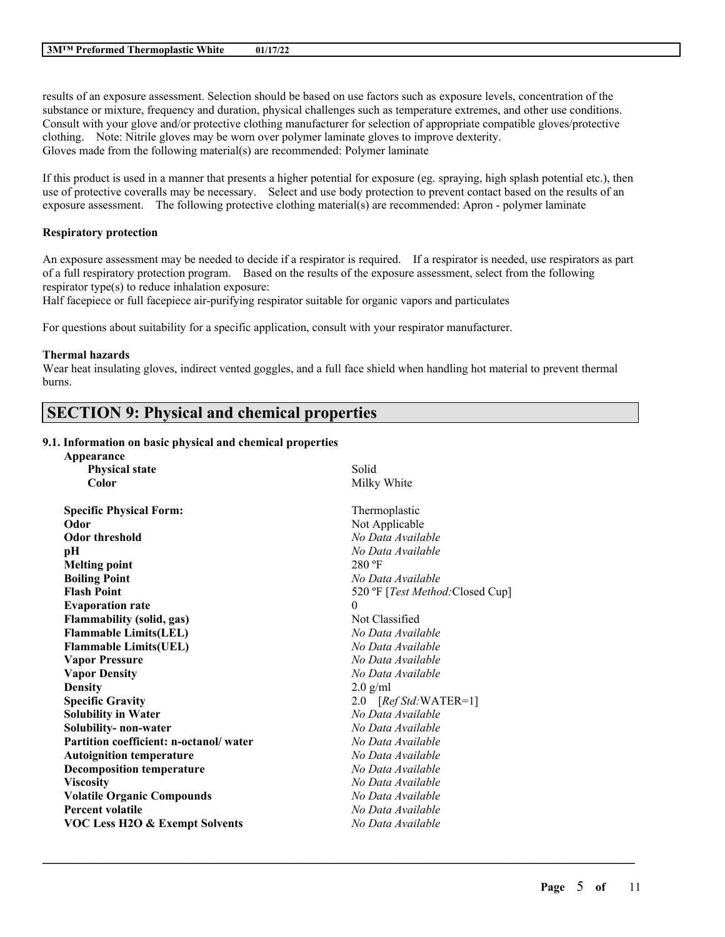results of an exposure assessment. Selection should be based on use factors such as exposure levels, concentration of the substance or mixture, frequency and duration, physical challenges such as temperature extremes, and other use conditions. Consult with your glove and/or protective clothing manufacturer for selection of appropriate compatible gloves/protective clothing. Note: Nitrile gloves may be worn over polymer laminate gloves to improve dexterity. Gloves made from the following material(s) are recommended: Polymer laminate

If this product is used in a manner that presents a higher potential for exposure (eg. spraying, high splash potential etc.), then use of protective coveralls may be necessary. Select and use body protection to prevent contact based on the results of an exposure assessment. The following protective clothing material(s) are recommended: Apron - polymer laminate

## **Respiratory protection**

An exposure assessment may be needed to decide if a respirator is required. If a respirator is needed, use respirators as part of a full respiratory protection program. Based on the results of the exposure assessment, select from the following respirator type(s) to reduce inhalation exposure:

Half facepiece or full facepiece air-purifying respirator suitable for organic vapors and particulates

For questions about suitability for a specific application, consult with your respirator manufacturer.

### **Thermal hazards**

Wear heat insulating gloves, indirect vented goggles, and a full face shield when handling hot material to prevent thermal burns.

# **SECTION 9: Physical and chemical properties**

## **9.1. Information on basic physical and chemical properties**

| Appearance                                |                                  |
|-------------------------------------------|----------------------------------|
| <b>Physical state</b>                     | Solid                            |
| Color                                     | Milky White                      |
| <b>Specific Physical Form:</b>            | Thermoplastic                    |
| Odor                                      | Not Applicable                   |
| <b>Odor threshold</b>                     | No Data Available                |
| pН                                        | No Data Available                |
| <b>Melting point</b>                      | $280$ °F                         |
| <b>Boiling Point</b>                      | No Data Available                |
| <b>Flash Point</b>                        | 520 °F [Test Method: Closed Cup] |
| <b>Evaporation rate</b>                   | $\theta$                         |
| <b>Flammability (solid, gas)</b>          | Not Classified                   |
| <b>Flammable Limits(LEL)</b>              | No Data Available                |
| <b>Flammable Limits(UEL)</b>              | No Data Available                |
| <b>Vapor Pressure</b>                     | No Data Available                |
| <b>Vapor Density</b>                      | No Data Available                |
| <b>Density</b>                            | $2.0$ g/ml                       |
| <b>Specific Gravity</b>                   | 2.0 [Ref Std: WATER=1]           |
| <b>Solubility in Water</b>                | No Data Available                |
| Solubility- non-water                     | No Data Available                |
| Partition coefficient: n-octanol/water    | No Data Available                |
| <b>Autoignition temperature</b>           | No Data Available                |
| <b>Decomposition temperature</b>          | No Data Available                |
| <b>Viscosity</b>                          | No Data Available                |
| <b>Volatile Organic Compounds</b>         | No Data Available                |
| <b>Percent volatile</b>                   | No Data Available                |
| <b>VOC Less H2O &amp; Exempt Solvents</b> | No Data Available                |
|                                           |                                  |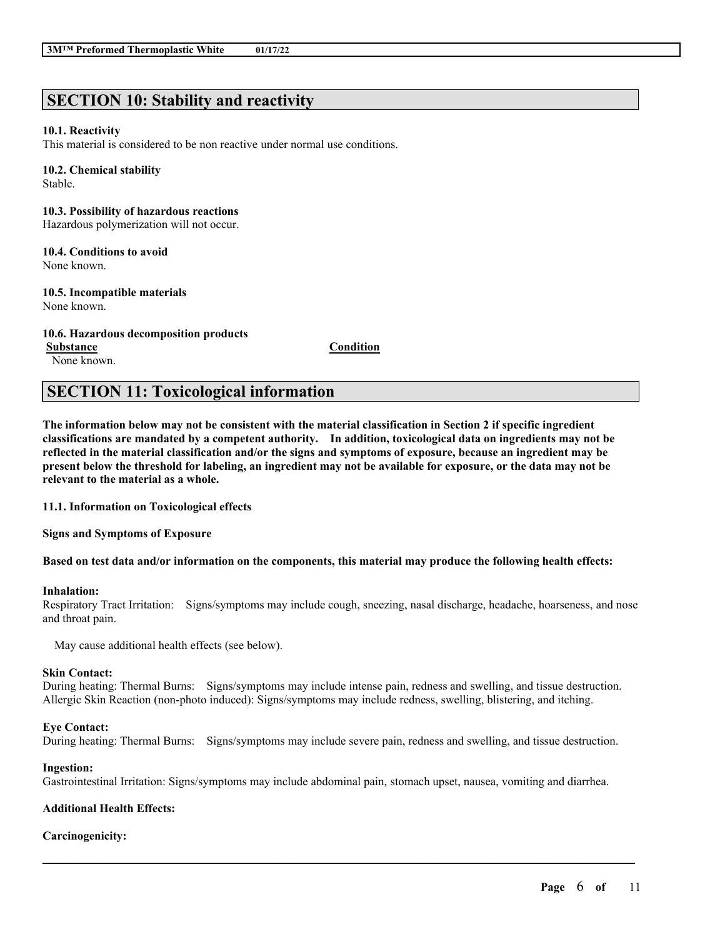# **SECTION 10: Stability and reactivity**

### **10.1. Reactivity**

This material is considered to be non reactive under normal use conditions.

#### **10.2. Chemical stability**

Stable.

## **10.3. Possibility of hazardous reactions**

Hazardous polymerization will not occur.

#### **10.4. Conditions to avoid** None known.

#### **10.5. Incompatible materials** None known.

## **10.6. Hazardous decomposition products**

None known.

**Substance Condition**

# **SECTION 11: Toxicological information**

The information below may not be consistent with the material classification in Section 2 if specific ingredient **classifications are mandated by a competent authority. In addition, toxicological data on ingredients may not be** reflected in the material classification and/or the signs and symptoms of exposure, because an ingredient may be present below the threshold for labeling, an ingredient may not be available for exposure, or the data may not be **relevant to the material as a whole.**

## **11.1. Information on Toxicological effects**

**Signs and Symptoms of Exposure**

## Based on test data and/or information on the components, this material may produce the following health effects:

#### **Inhalation:**

Respiratory Tract Irritation: Signs/symptoms may include cough, sneezing, nasal discharge, headache, hoarseness, and nose and throat pain.

May cause additional health effects (see below).

#### **Skin Contact:**

During heating: Thermal Burns: Signs/symptoms may include intense pain, redness and swelling, and tissue destruction. Allergic Skin Reaction (non-photo induced): Signs/symptoms may include redness, swelling, blistering, and itching.

## **Eye Contact:**

During heating: Thermal Burns: Signs/symptoms may include severe pain, redness and swelling, and tissue destruction.

#### **Ingestion:**

Gastrointestinal Irritation: Signs/symptoms may include abdominal pain, stomach upset, nausea, vomiting and diarrhea.

 $\mathcal{L}_\mathcal{L} = \mathcal{L}_\mathcal{L} = \mathcal{L}_\mathcal{L} = \mathcal{L}_\mathcal{L} = \mathcal{L}_\mathcal{L} = \mathcal{L}_\mathcal{L} = \mathcal{L}_\mathcal{L} = \mathcal{L}_\mathcal{L} = \mathcal{L}_\mathcal{L} = \mathcal{L}_\mathcal{L} = \mathcal{L}_\mathcal{L} = \mathcal{L}_\mathcal{L} = \mathcal{L}_\mathcal{L} = \mathcal{L}_\mathcal{L} = \mathcal{L}_\mathcal{L} = \mathcal{L}_\mathcal{L} = \mathcal{L}_\mathcal{L}$ 

## **Additional Health Effects:**

## **Carcinogenicity:**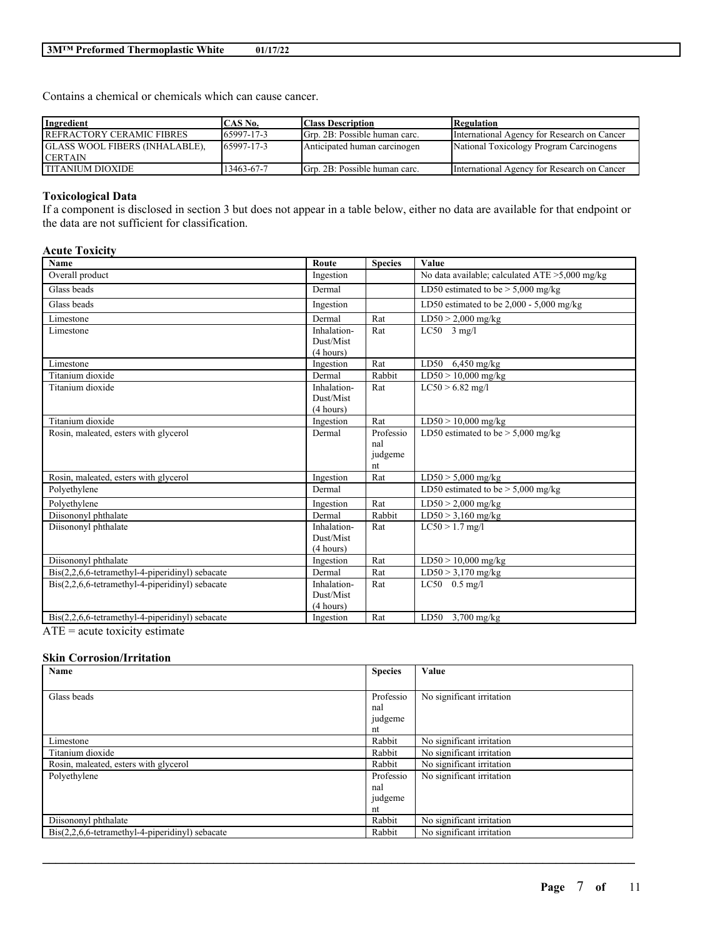Contains a chemical or chemicals which can cause cancer.

| Ingredient                            | CAS No.    | <b>Class Description</b>      | <b>Regulation</b>                           |
|---------------------------------------|------------|-------------------------------|---------------------------------------------|
| REFRACTORY CERAMIC FIBRES             | 65997-17-3 | Grp. 2B: Possible human carc. | International Agency for Research on Cancer |
| <b>GLASS WOOL FIBERS (INHALABLE),</b> | 65997-17-3 | Anticipated human carcinogen  | National Toxicology Program Carcinogens     |
| <b>CERTAIN</b>                        |            |                               |                                             |
| <b>ITITANIUM DIOXIDE</b>              | 13463-67-7 | Grp. 2B: Possible human carc. | International Agency for Research on Cancer |

## **Toxicological Data**

If a component is disclosed in section 3 but does not appear in a table below, either no data are available for that endpoint or the data are not sufficient for classification.

## **Acute Toxicity**

| <b>Name</b>                                       | Route       | <b>Species</b> | Value                                             |
|---------------------------------------------------|-------------|----------------|---------------------------------------------------|
| Overall product                                   | Ingestion   |                | No data available; calculated $ATE > 5,000$ mg/kg |
| Glass beads                                       | Dermal      |                | LD50 estimated to be $> 5,000$ mg/kg              |
| Glass beads                                       | Ingestion   |                | LD50 estimated to be $2,000 - 5,000$ mg/kg        |
| Limestone                                         | Dermal      | Rat            | $LD50 > 2,000$ mg/kg                              |
| Limestone                                         | Inhalation- | Rat            | $LC50$ 3 mg/l                                     |
|                                                   | Dust/Mist   |                |                                                   |
|                                                   | (4 hours)   |                |                                                   |
| Limestone                                         | Ingestion   | Rat            | LD50 $6,450$ mg/kg                                |
| Titanium dioxide                                  | Dermal      | Rabbit         | $LD50 > 10,000$ mg/kg                             |
| Titanium dioxide                                  | Inhalation- | Rat            | $LC50 > 6.82$ mg/l                                |
|                                                   | Dust/Mist   |                |                                                   |
|                                                   | (4 hours)   |                |                                                   |
| Titanium dioxide                                  | Ingestion   | Rat            | $LD50 > 10,000$ mg/kg                             |
| Rosin, maleated, esters with glycerol             | Dermal      | Professio      | LD50 estimated to be $> 5,000$ mg/kg              |
|                                                   |             | nal            |                                                   |
|                                                   |             | judgeme        |                                                   |
|                                                   |             | nt             |                                                   |
| Rosin, maleated, esters with glycerol             | Ingestion   | Rat            | $LD50 > 5,000$ mg/kg                              |
| Polyethylene                                      | Dermal      |                | LD50 estimated to be $> 5,000$ mg/kg              |
| Polyethylene                                      | Ingestion   | Rat            | $LD50 > 2,000$ mg/kg                              |
| Diisononyl phthalate                              | Dermal      | Rabbit         | $LD50 > 3,160$ mg/kg                              |
| Diisononyl phthalate                              | Inhalation- | Rat            | $LC50 > 1.7$ mg/l                                 |
|                                                   | Dust/Mist   |                |                                                   |
|                                                   | (4 hours)   |                |                                                   |
| Diisononyl phthalate                              | Ingestion   | Rat            | $LD50 > 10,000$ mg/kg                             |
| Bis(2,2,6,6-tetramethyl-4-piperidinyl) sebacate   | Dermal      | Rat            | $LD50 > 3,170$ mg/kg                              |
| $Dis(2,2,6,6-tetramethyl-4-piperidinyl)$ sebacate | Inhalation- | Rat            | $LC50$ 0.5 mg/l                                   |
|                                                   | Dust/Mist   |                |                                                   |
|                                                   | (4 hours)   |                |                                                   |
| Bis(2,2,6,6-tetramethyl-4-piperidinyl) sebacate   | Ingestion   | Rat            | LD50<br>$3,700$ mg/kg                             |
| $\Lambda TE - \rho outof$ to rigity estimate      |             |                |                                                   |

 $ATE = acute$  toxicity estimate

## **Skin Corrosion/Irritation**

| Name                                                            | <b>Species</b> | Value                     |
|-----------------------------------------------------------------|----------------|---------------------------|
|                                                                 |                |                           |
| Glass beads                                                     | Professio      | No significant irritation |
|                                                                 | nal            |                           |
|                                                                 | judgeme        |                           |
|                                                                 | nt             |                           |
| Limestone                                                       | Rabbit         | No significant irritation |
| Titanium dioxide                                                | Rabbit         | No significant irritation |
| Rosin, maleated, esters with glycerol                           | Rabbit         | No significant irritation |
| Polyethylene                                                    | Professio      | No significant irritation |
|                                                                 | nal            |                           |
|                                                                 | judgeme        |                           |
|                                                                 | nt             |                           |
| Diisononyl phthalate                                            | Rabbit         | No significant irritation |
| $\text{Bis}(2,2,6,6\text{-tetramethyl-4-piperidinyl})$ sebacate | Rabbit         | No significant irritation |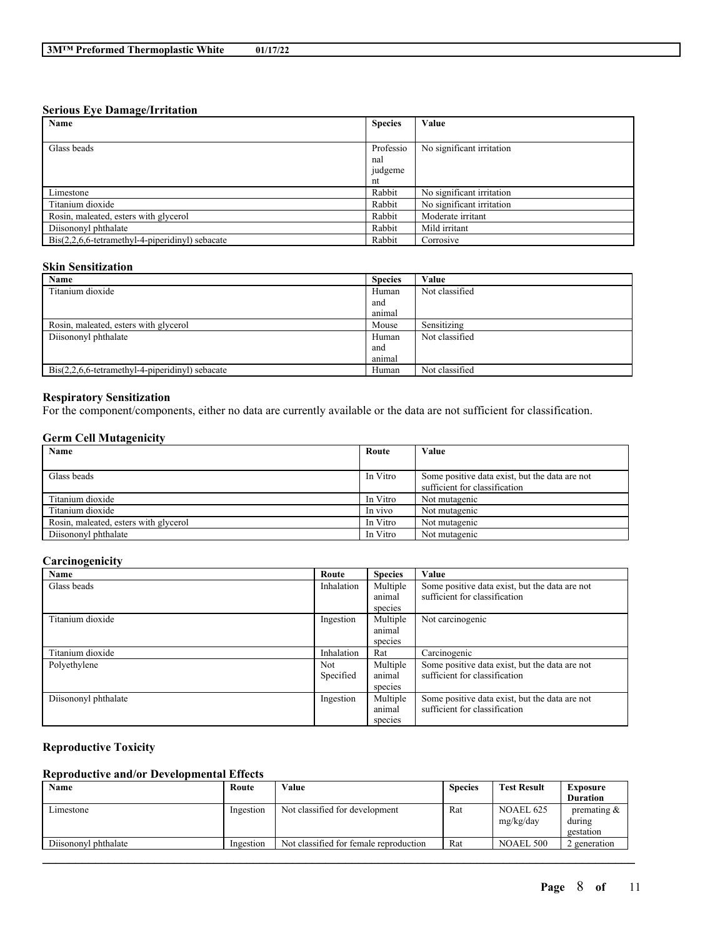#### **Serious Eye Damage/Irritation**

| $\cdot$<br>Name                                                 | <b>Species</b> | Value                     |
|-----------------------------------------------------------------|----------------|---------------------------|
|                                                                 |                |                           |
| Glass beads                                                     | Professio      | No significant irritation |
|                                                                 | nal            |                           |
|                                                                 | judgeme        |                           |
|                                                                 | nt             |                           |
| Limestone                                                       | Rabbit         | No significant irritation |
| Titanium dioxide                                                | Rabbit         | No significant irritation |
| Rosin, maleated, esters with glycerol                           | Rabbit         | Moderate irritant         |
| Diisononyl phthalate                                            | Rabbit         | Mild irritant             |
| $\text{Bis}(2,2,6,6\text{-tetramethyl-4-piperidinyl})$ sebacate | Rabbit         | Corrosive                 |

## **Skin Sensitization**

| Name                                                            | <b>Species</b> | Value          |
|-----------------------------------------------------------------|----------------|----------------|
| Titanium dioxide                                                | Human          | Not classified |
|                                                                 | and            |                |
|                                                                 | animal         |                |
| Rosin, maleated, esters with glycerol                           | Mouse          | Sensitizing    |
| Diisononyl phthalate                                            | Human          | Not classified |
|                                                                 | and            |                |
|                                                                 | animal         |                |
| $\text{Bis}(2,2,6,6\text{-tetramethyl-4-piperidinyl})$ sebacate | Human          | Not classified |

## **Respiratory Sensitization**

For the component/components, either no data are currently available or the data are not sufficient for classification.

### **Germ Cell Mutagenicity**

| Name                                  | Route    | Value                                          |
|---------------------------------------|----------|------------------------------------------------|
|                                       |          |                                                |
| Glass beads                           | In Vitro | Some positive data exist, but the data are not |
|                                       |          | sufficient for classification                  |
| Titanium dioxide                      | In Vitro | Not mutagenic                                  |
| Titanium dioxide                      | In vivo  | Not mutagenic                                  |
| Rosin, maleated, esters with glycerol | In Vitro | Not mutagenic                                  |
| Diisononyl phthalate                  | In Vitro | Not mutagenic                                  |

## **Carcinogenicity**

| Name                 | Route      | <b>Species</b> | Value                                          |
|----------------------|------------|----------------|------------------------------------------------|
| Glass beads          | Inhalation | Multiple       | Some positive data exist, but the data are not |
|                      |            | animal         | sufficient for classification                  |
|                      |            | species        |                                                |
| Titanium dioxide     | Ingestion  | Multiple       | Not carcinogenic                               |
|                      |            | animal         |                                                |
|                      |            | species        |                                                |
| Titanium dioxide     | Inhalation | Rat            | Carcinogenic                                   |
| Polyethylene         | Not        | Multiple       | Some positive data exist, but the data are not |
|                      | Specified  | animal         | sufficient for classification                  |
|                      |            | species        |                                                |
| Diisononyl phthalate | Ingestion  | Multiple       | Some positive data exist, but the data are not |
|                      |            | animal         | sufficient for classification                  |
|                      |            | species        |                                                |

## **Reproductive Toxicity**

## **Reproductive and/or Developmental Effects**

| Name                 | Route     | Value                                  | <b>Species</b> | <b>Test Result</b>     | Exposure                              |
|----------------------|-----------|----------------------------------------|----------------|------------------------|---------------------------------------|
|                      |           |                                        |                |                        | <b>Duration</b>                       |
| Limestone            | Ingestion | Not classified for development         | Rat            | NOAEL 625<br>mg/kg/day | premating $\&$<br>during<br>gestation |
| Diisononyl phthalate | Ingestion | Not classified for female reproduction | Rat            | NOAEL 500              | 2 generation                          |
|                      |           |                                        |                |                        |                                       |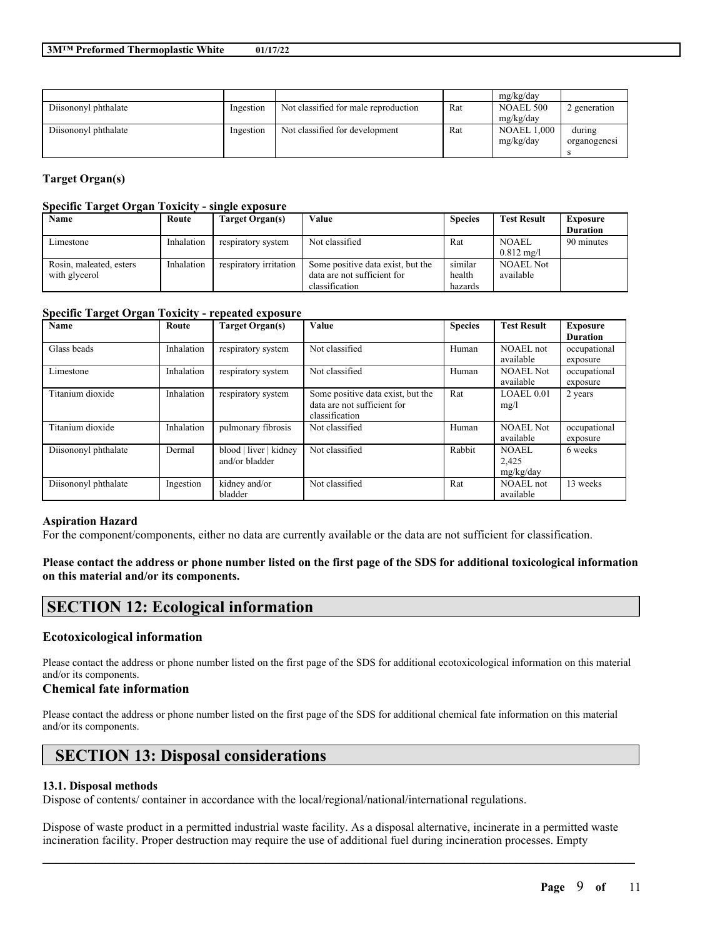|                      |           |                                      |     | mg/kg/day          |              |
|----------------------|-----------|--------------------------------------|-----|--------------------|--------------|
| Diisononyl phthalate | Ingestion | Not classified for male reproduction | Rat | NOAEL 500          | 2 generation |
|                      |           |                                      |     | mg/kg/day          |              |
| Diisononyl phthalate | Ingestion | Not classified for development       | Rat | <b>NOAEL 1,000</b> | during       |
|                      |           |                                      |     | mg/kg/day          | organogenesi |
|                      |           |                                      |     |                    |              |

## **Target Organ(s)**

#### **Specific Target Organ Toxicity - single exposure**

| Name                    | Route      | <b>Target Organ(s)</b> | Value                             | <b>Species</b> | <b>Test Result</b>   | <b>Exposure</b> |
|-------------------------|------------|------------------------|-----------------------------------|----------------|----------------------|-----------------|
|                         |            |                        |                                   |                |                      | <b>Duration</b> |
| Limestone               | Inhalation | respiratory system     | Not classified                    | Rat            | <b>NOAEL</b>         | 90 minutes      |
|                         |            |                        |                                   |                | $0.812 \text{ mg/l}$ |                 |
| Rosin, maleated, esters | Inhalation | respiratory irritation | Some positive data exist, but the | similar        | <b>NOAEL Not</b>     |                 |
| with glycerol           |            |                        | data are not sufficient for       | health         | available            |                 |
|                         |            |                        | classification                    | hazards        |                      |                 |

### **Specific Target Organ Toxicity - repeated exposure**

| Name                 | Route      | <b>Target Organ(s)</b> | <b>Value</b>                      | <b>Species</b> | <b>Test Result</b> | <b>Exposure</b> |
|----------------------|------------|------------------------|-----------------------------------|----------------|--------------------|-----------------|
|                      |            |                        |                                   |                |                    | <b>Duration</b> |
| Glass beads          | Inhalation | respiratory system     | Not classified                    | Human          | NOAEL not          | occupational    |
|                      |            |                        |                                   |                | available          | exposure        |
| Limestone            | Inhalation | respiratory system     | Not classified                    | Human          | <b>NOAEL Not</b>   | occupational    |
|                      |            |                        |                                   |                | available          | exposure        |
| Titanium dioxide     | Inhalation | respiratory system     | Some positive data exist, but the | Rat            | LOAEL 0.01         | 2 years         |
|                      |            |                        | data are not sufficient for       |                | mg/l               |                 |
|                      |            |                        | classification                    |                |                    |                 |
| Titanium dioxide     | Inhalation | pulmonary fibrosis     | Not classified                    | Human          | <b>NOAEL Not</b>   | occupational    |
|                      |            |                        |                                   |                | available          | exposure        |
| Diisononyl phthalate | Dermal     | blood   liver   kidney | Not classified                    | Rabbit         | <b>NOAEL</b>       | 6 weeks         |
|                      |            | and/or bladder         |                                   |                | 2,425              |                 |
|                      |            |                        |                                   |                | mg/kg/day          |                 |
| Diisononyl phthalate | Ingestion  | kidney and/or          | Not classified                    | Rat            | NOAEL not          | 13 weeks        |
|                      |            | bladder                |                                   |                | available          |                 |

#### **Aspiration Hazard**

For the component/components, either no data are currently available or the data are not sufficient for classification.

## Please contact the address or phone number listed on the first page of the SDS for additional toxicological information **on this material and/or its components.**

## **SECTION 12: Ecological information**

#### **Ecotoxicological information**

Please contact the address or phone number listed on the first page of the SDS for additional ecotoxicological information on this material and/or its components.

### **Chemical fate information**

Please contact the address or phone number listed on the first page of the SDS for additional chemical fate information on this material and/or its components.

# **SECTION 13: Disposal considerations**

#### **13.1. Disposal methods**

Dispose of contents/ container in accordance with the local/regional/national/international regulations.

Dispose of waste product in a permitted industrial waste facility. As a disposal alternative, incinerate in a permitted waste incineration facility. Proper destruction may require the use of additional fuel during incineration processes. Empty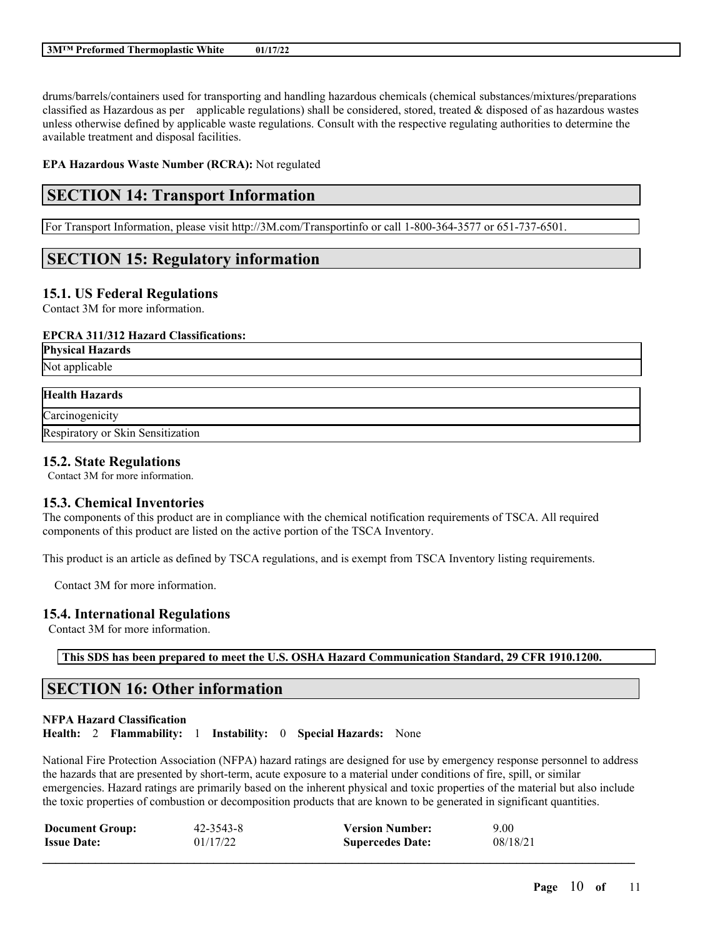drums/barrels/containers used for transporting and handling hazardous chemicals (chemical substances/mixtures/preparations classified as Hazardous as per applicable regulations) shall be considered, stored, treated  $\&$  disposed of as hazardous wastes unless otherwise defined by applicable waste regulations. Consult with the respective regulating authorities to determine the available treatment and disposal facilities.

**EPA Hazardous Waste Number (RCRA):** Not regulated

# **SECTION 14: Transport Information**

For Transport Information, please visit http://3M.com/Transportinfo or call 1-800-364-3577 or 651-737-6501.

# **SECTION 15: Regulatory information**

## **15.1. US Federal Regulations**

Contact 3M for more information.

## **EPCRA 311/312 Hazard Classifications:**

**Physical Hazards** Not applicable

# **Health Hazards**

**Carcinogenicity** Respiratory or Skin Sensitization

## **15.2. State Regulations**

Contact 3M for more information.

## **15.3. Chemical Inventories**

The components of this product are in compliance with the chemical notification requirements of TSCA. All required components of this product are listed on the active portion of the TSCA Inventory.

This product is an article as defined by TSCA regulations, and is exempt from TSCA Inventory listing requirements.

Contact 3M for more information.

## **15.4. International Regulations**

Contact 3M for more information.

**This SDS has been prepared to meet the U.S. OSHA Hazard Communication Standard, 29 CFR 1910.1200.**

# **SECTION 16: Other information**

## **NFPA Hazard Classification Health:** 2 **Flammability:** 1 **Instability:** 0 **Special Hazards:** None

National Fire Protection Association (NFPA) hazard ratings are designed for use by emergency response personnel to address the hazards that are presented by short-term, acute exposure to a material under conditions of fire, spill, or similar emergencies. Hazard ratings are primarily based on the inherent physical and toxic properties of the material but also include the toxic properties of combustion or decomposition products that are known to be generated in significant quantities.

| <b>Document Group:</b> | $42 - 3543 - 8$ | <b>Version Number:</b>  | 9.00     |
|------------------------|-----------------|-------------------------|----------|
| <b>Issue Date:</b>     | 01/17/22        | <b>Supercedes Date:</b> | 08/18/21 |
|                        |                 |                         |          |